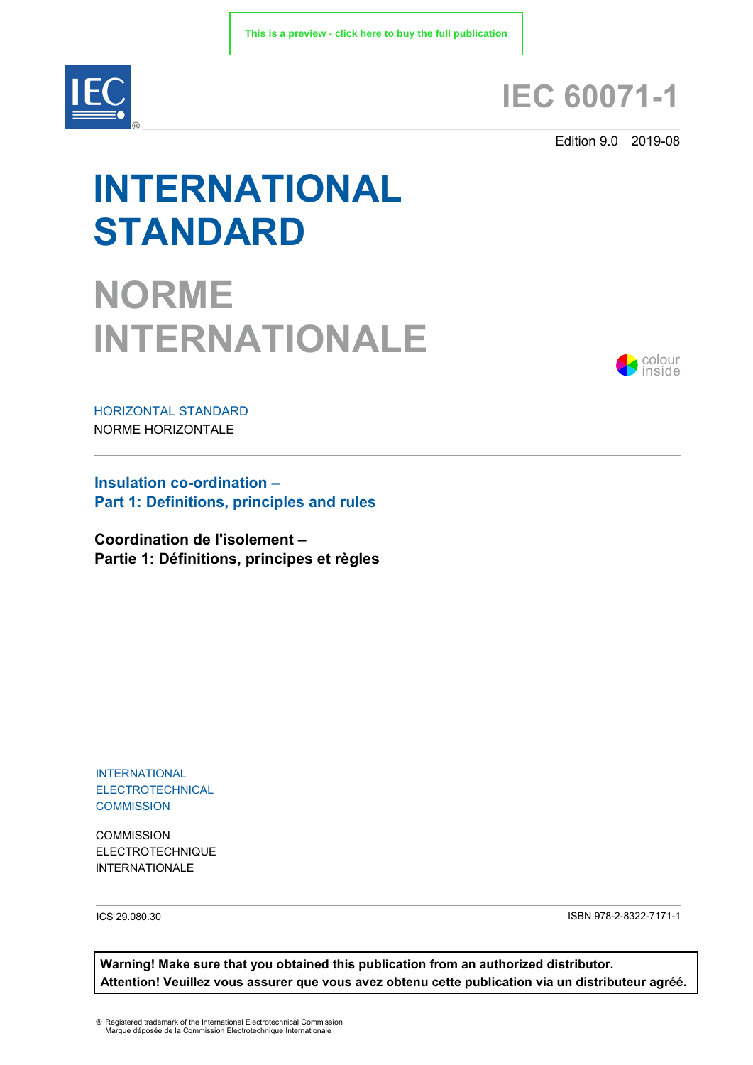

# **IEC 60071-1**

Edition 9.0 2019-08

# **INTERNATIONAL STANDARD**

**NORME INTERNATIONALE**



HORIZONTAL STANDARD NORME HORIZONTALE

**Insulation co-ordination – Part 1: Definitions, principles and rules**

**Coordination de l'isolement – Partie 1: Définitions, principes et règles**

INTERNATIONAL **ELECTROTECHNICAL COMMISSION** 

**COMMISSION** ELECTROTECHNIQUE INTERNATIONALE

ICS 29.080.30 ISBN 978-2-8322-7171-1

**Warning! Make sure that you obtained this publication from an authorized distributor. Attention! Veuillez vous assurer que vous avez obtenu cette publication via un distributeur agréé.**

® Registered trademark of the International Electrotechnical Commission Marque déposée de la Commission Electrotechnique Internationale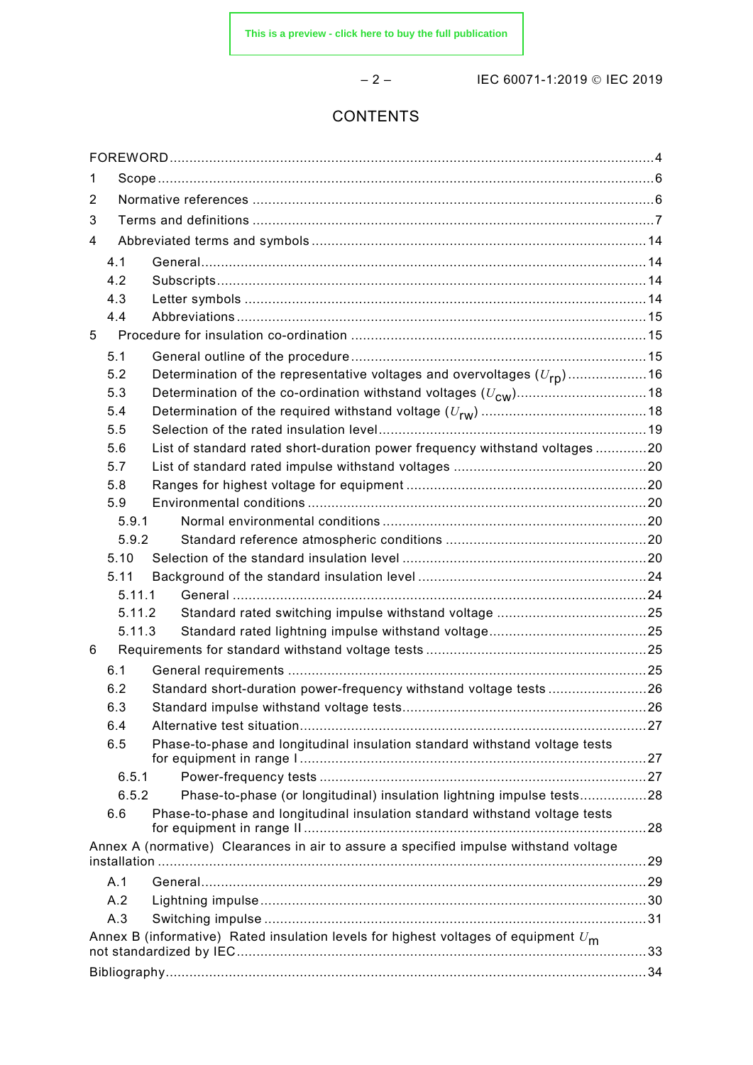– 2 – IEC 60071-1:2019 IEC 2019

# CONTENTS

| 1<br>2<br>3<br>4<br>4.1<br>4.2<br>4.3<br>4.4<br>5<br>5.1<br>Determination of the representative voltages and overvoltages $(U_{\text{rp}})$ 16<br>5.2<br>5.3<br>5.4<br>5.5<br>List of standard rated short-duration power frequency withstand voltages 20<br>5.6<br>5.7<br>5.8<br>5.9<br>5.9.1<br>5.9.2<br>5.10<br>5.11<br>5.11.1<br>5.11.2<br>5.11.3<br>6<br>6.1<br>Standard short-duration power-frequency withstand voltage tests 26<br>6.2<br>6.3<br>6.4<br>Phase-to-phase and longitudinal insulation standard withstand voltage tests<br>6.5<br>6.5.1<br>Phase-to-phase (or longitudinal) insulation lightning impulse tests28<br>6.5.2<br>6.6<br>Phase-to-phase and longitudinal insulation standard withstand voltage tests<br>Annex A (normative) Clearances in air to assure a specified impulse withstand voltage<br>A.1<br>A.2<br>A.3<br>Annex B (informative) Rated insulation levels for highest voltages of equipment $U_{\mathbf{m}}$ |  |  |  |  |
|-------------------------------------------------------------------------------------------------------------------------------------------------------------------------------------------------------------------------------------------------------------------------------------------------------------------------------------------------------------------------------------------------------------------------------------------------------------------------------------------------------------------------------------------------------------------------------------------------------------------------------------------------------------------------------------------------------------------------------------------------------------------------------------------------------------------------------------------------------------------------------------------------------------------------------------------------------|--|--|--|--|
|                                                                                                                                                                                                                                                                                                                                                                                                                                                                                                                                                                                                                                                                                                                                                                                                                                                                                                                                                       |  |  |  |  |
|                                                                                                                                                                                                                                                                                                                                                                                                                                                                                                                                                                                                                                                                                                                                                                                                                                                                                                                                                       |  |  |  |  |
|                                                                                                                                                                                                                                                                                                                                                                                                                                                                                                                                                                                                                                                                                                                                                                                                                                                                                                                                                       |  |  |  |  |
|                                                                                                                                                                                                                                                                                                                                                                                                                                                                                                                                                                                                                                                                                                                                                                                                                                                                                                                                                       |  |  |  |  |
|                                                                                                                                                                                                                                                                                                                                                                                                                                                                                                                                                                                                                                                                                                                                                                                                                                                                                                                                                       |  |  |  |  |
|                                                                                                                                                                                                                                                                                                                                                                                                                                                                                                                                                                                                                                                                                                                                                                                                                                                                                                                                                       |  |  |  |  |
|                                                                                                                                                                                                                                                                                                                                                                                                                                                                                                                                                                                                                                                                                                                                                                                                                                                                                                                                                       |  |  |  |  |
|                                                                                                                                                                                                                                                                                                                                                                                                                                                                                                                                                                                                                                                                                                                                                                                                                                                                                                                                                       |  |  |  |  |
|                                                                                                                                                                                                                                                                                                                                                                                                                                                                                                                                                                                                                                                                                                                                                                                                                                                                                                                                                       |  |  |  |  |
|                                                                                                                                                                                                                                                                                                                                                                                                                                                                                                                                                                                                                                                                                                                                                                                                                                                                                                                                                       |  |  |  |  |
|                                                                                                                                                                                                                                                                                                                                                                                                                                                                                                                                                                                                                                                                                                                                                                                                                                                                                                                                                       |  |  |  |  |
|                                                                                                                                                                                                                                                                                                                                                                                                                                                                                                                                                                                                                                                                                                                                                                                                                                                                                                                                                       |  |  |  |  |
|                                                                                                                                                                                                                                                                                                                                                                                                                                                                                                                                                                                                                                                                                                                                                                                                                                                                                                                                                       |  |  |  |  |
|                                                                                                                                                                                                                                                                                                                                                                                                                                                                                                                                                                                                                                                                                                                                                                                                                                                                                                                                                       |  |  |  |  |
|                                                                                                                                                                                                                                                                                                                                                                                                                                                                                                                                                                                                                                                                                                                                                                                                                                                                                                                                                       |  |  |  |  |
|                                                                                                                                                                                                                                                                                                                                                                                                                                                                                                                                                                                                                                                                                                                                                                                                                                                                                                                                                       |  |  |  |  |
|                                                                                                                                                                                                                                                                                                                                                                                                                                                                                                                                                                                                                                                                                                                                                                                                                                                                                                                                                       |  |  |  |  |
|                                                                                                                                                                                                                                                                                                                                                                                                                                                                                                                                                                                                                                                                                                                                                                                                                                                                                                                                                       |  |  |  |  |
|                                                                                                                                                                                                                                                                                                                                                                                                                                                                                                                                                                                                                                                                                                                                                                                                                                                                                                                                                       |  |  |  |  |
|                                                                                                                                                                                                                                                                                                                                                                                                                                                                                                                                                                                                                                                                                                                                                                                                                                                                                                                                                       |  |  |  |  |
|                                                                                                                                                                                                                                                                                                                                                                                                                                                                                                                                                                                                                                                                                                                                                                                                                                                                                                                                                       |  |  |  |  |
|                                                                                                                                                                                                                                                                                                                                                                                                                                                                                                                                                                                                                                                                                                                                                                                                                                                                                                                                                       |  |  |  |  |
|                                                                                                                                                                                                                                                                                                                                                                                                                                                                                                                                                                                                                                                                                                                                                                                                                                                                                                                                                       |  |  |  |  |
|                                                                                                                                                                                                                                                                                                                                                                                                                                                                                                                                                                                                                                                                                                                                                                                                                                                                                                                                                       |  |  |  |  |
|                                                                                                                                                                                                                                                                                                                                                                                                                                                                                                                                                                                                                                                                                                                                                                                                                                                                                                                                                       |  |  |  |  |
|                                                                                                                                                                                                                                                                                                                                                                                                                                                                                                                                                                                                                                                                                                                                                                                                                                                                                                                                                       |  |  |  |  |
|                                                                                                                                                                                                                                                                                                                                                                                                                                                                                                                                                                                                                                                                                                                                                                                                                                                                                                                                                       |  |  |  |  |
|                                                                                                                                                                                                                                                                                                                                                                                                                                                                                                                                                                                                                                                                                                                                                                                                                                                                                                                                                       |  |  |  |  |
|                                                                                                                                                                                                                                                                                                                                                                                                                                                                                                                                                                                                                                                                                                                                                                                                                                                                                                                                                       |  |  |  |  |
|                                                                                                                                                                                                                                                                                                                                                                                                                                                                                                                                                                                                                                                                                                                                                                                                                                                                                                                                                       |  |  |  |  |
|                                                                                                                                                                                                                                                                                                                                                                                                                                                                                                                                                                                                                                                                                                                                                                                                                                                                                                                                                       |  |  |  |  |
|                                                                                                                                                                                                                                                                                                                                                                                                                                                                                                                                                                                                                                                                                                                                                                                                                                                                                                                                                       |  |  |  |  |
|                                                                                                                                                                                                                                                                                                                                                                                                                                                                                                                                                                                                                                                                                                                                                                                                                                                                                                                                                       |  |  |  |  |
|                                                                                                                                                                                                                                                                                                                                                                                                                                                                                                                                                                                                                                                                                                                                                                                                                                                                                                                                                       |  |  |  |  |
|                                                                                                                                                                                                                                                                                                                                                                                                                                                                                                                                                                                                                                                                                                                                                                                                                                                                                                                                                       |  |  |  |  |
|                                                                                                                                                                                                                                                                                                                                                                                                                                                                                                                                                                                                                                                                                                                                                                                                                                                                                                                                                       |  |  |  |  |
|                                                                                                                                                                                                                                                                                                                                                                                                                                                                                                                                                                                                                                                                                                                                                                                                                                                                                                                                                       |  |  |  |  |
|                                                                                                                                                                                                                                                                                                                                                                                                                                                                                                                                                                                                                                                                                                                                                                                                                                                                                                                                                       |  |  |  |  |
|                                                                                                                                                                                                                                                                                                                                                                                                                                                                                                                                                                                                                                                                                                                                                                                                                                                                                                                                                       |  |  |  |  |
|                                                                                                                                                                                                                                                                                                                                                                                                                                                                                                                                                                                                                                                                                                                                                                                                                                                                                                                                                       |  |  |  |  |
|                                                                                                                                                                                                                                                                                                                                                                                                                                                                                                                                                                                                                                                                                                                                                                                                                                                                                                                                                       |  |  |  |  |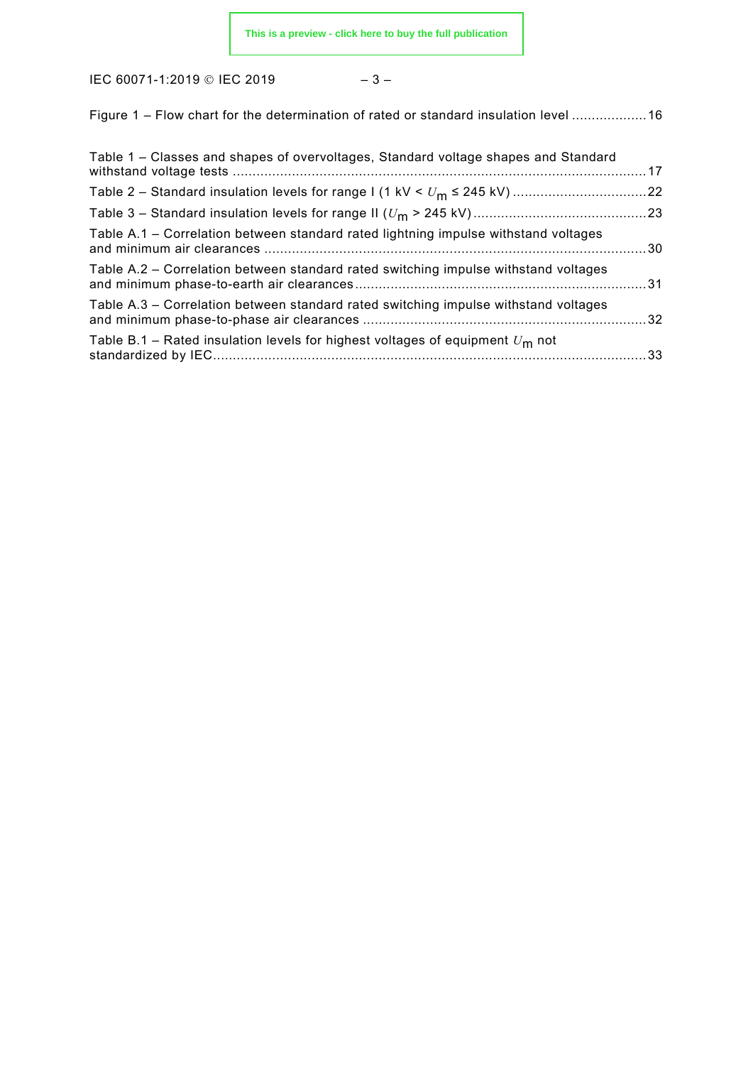IEC 60071-1:2019 © IEC 2019 - 3 –

| I<br>× |
|--------|
|--------|

| Figure 1 – Flow chart for the determination of rated or standard insulation level  16      |  |
|--------------------------------------------------------------------------------------------|--|
| Table 1 – Classes and shapes of overvoltages, Standard voltage shapes and Standard         |  |
|                                                                                            |  |
|                                                                                            |  |
| Table A.1 – Correlation between standard rated lightning impulse withstand voltages        |  |
| Table A.2 – Correlation between standard rated switching impulse withstand voltages        |  |
| Table A.3 – Correlation between standard rated switching impulse withstand voltages        |  |
| Table B.1 – Rated insulation levels for highest voltages of equipment $U_{\mathbf{m}}$ not |  |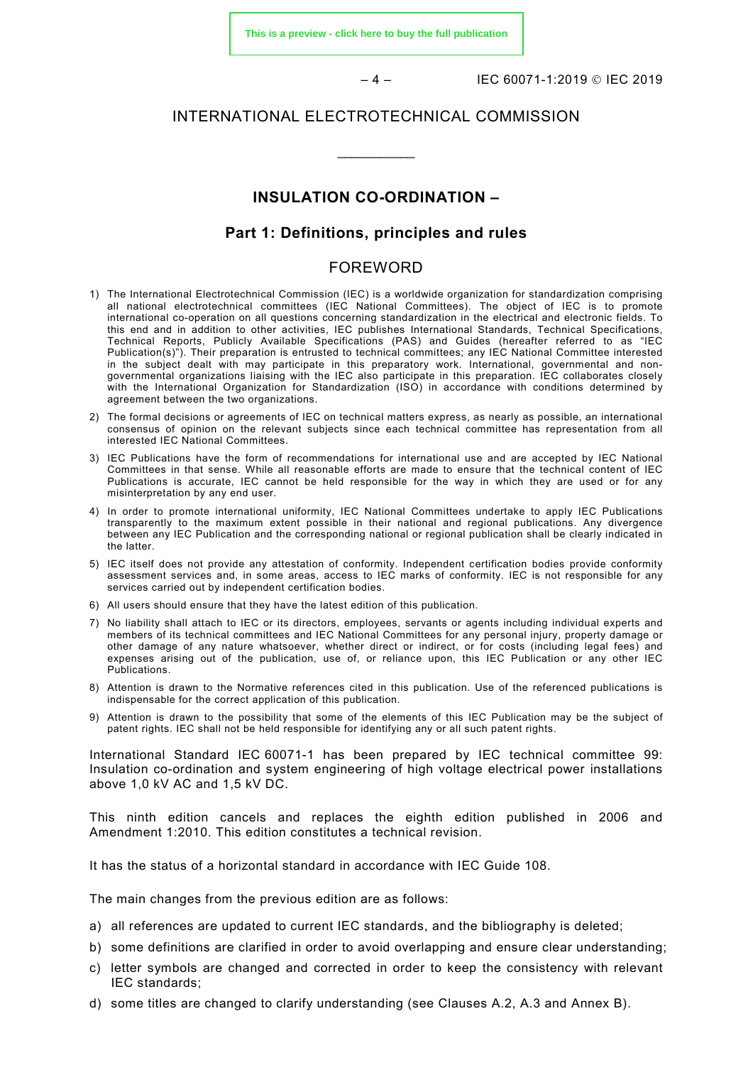**[This is a preview - click here to buy the full publication](https://webstore.iec.ch/publication/59657&preview)**

 $-4 -$  IEC 60071-1:2019 © IEC 2019

#### INTERNATIONAL ELECTROTECHNICAL COMMISSION

\_\_\_\_\_\_\_\_\_\_\_

#### **INSULATION CO-ORDINATION –**

#### **Part 1: Definitions, principles and rules**

#### FOREWORD

- <span id="page-3-0"></span>1) The International Electrotechnical Commission (IEC) is a worldwide organization for standardization comprising all national electrotechnical committees (IEC National Committees). The object of IEC is to promote international co-operation on all questions concerning standardization in the electrical and electronic fields. To this end and in addition to other activities, IEC publishes International Standards, Technical Specifications, Technical Reports, Publicly Available Specifications (PAS) and Guides (hereafter referred to as "IEC Publication(s)"). Their preparation is entrusted to technical committees; any IEC National Committee interested in the subject dealt with may participate in this preparatory work. International, governmental and nongovernmental organizations liaising with the IEC also participate in this preparation. IEC collaborates closely with the International Organization for Standardization (ISO) in accordance with conditions determined by agreement between the two organizations.
- 2) The formal decisions or agreements of IEC on technical matters express, as nearly as possible, an international consensus of opinion on the relevant subjects since each technical committee has representation from all interested IEC National Committees.
- 3) IEC Publications have the form of recommendations for international use and are accepted by IEC National Committees in that sense. While all reasonable efforts are made to ensure that the technical content of IEC Publications is accurate, IEC cannot be held responsible for the way in which they are used or for any misinterpretation by any end user.
- 4) In order to promote international uniformity, IEC National Committees undertake to apply IEC Publications transparently to the maximum extent possible in their national and regional publications. Any divergence between any IEC Publication and the corresponding national or regional publication shall be clearly indicated in the latter.
- 5) IEC itself does not provide any attestation of conformity. Independent certification bodies provide conformity assessment services and, in some areas, access to IEC marks of conformity. IEC is not responsible for any services carried out by independent certification bodies.
- 6) All users should ensure that they have the latest edition of this publication.
- 7) No liability shall attach to IEC or its directors, employees, servants or agents including individual experts and members of its technical committees and IEC National Committees for any personal injury, property damage or other damage of any nature whatsoever, whether direct or indirect, or for costs (including legal fees) and expenses arising out of the publication, use of, or reliance upon, this IEC Publication or any other IEC Publications.
- 8) Attention is drawn to the Normative references cited in this publication. Use of the referenced publications is indispensable for the correct application of this publication.
- 9) Attention is drawn to the possibility that some of the elements of this IEC Publication may be the subject of patent rights. IEC shall not be held responsible for identifying any or all such patent rights.

International Standard IEC 60071-1 has been prepared by IEC technical committee 99: Insulation co-ordination and system engineering of high voltage electrical power installations above 1,0 kV AC and 1,5 kV DC.

This ninth edition cancels and replaces the eighth edition published in 2006 and Amendment 1:2010. This edition constitutes a technical revision.

It has the status of a horizontal standard in accordance with IEC Guide 108.

The main changes from the previous edition are as follows:

- a) all references are updated to current IEC standards, and the bibliography is deleted;
- b) some definitions are clarified in order to avoid overlapping and ensure clear understanding;
- c) letter symbols are changed and corrected in order to keep the consistency with relevant IEC standards;
- d) some titles are changed to clarify understanding (see Clauses A.2, A.3 and Annex B).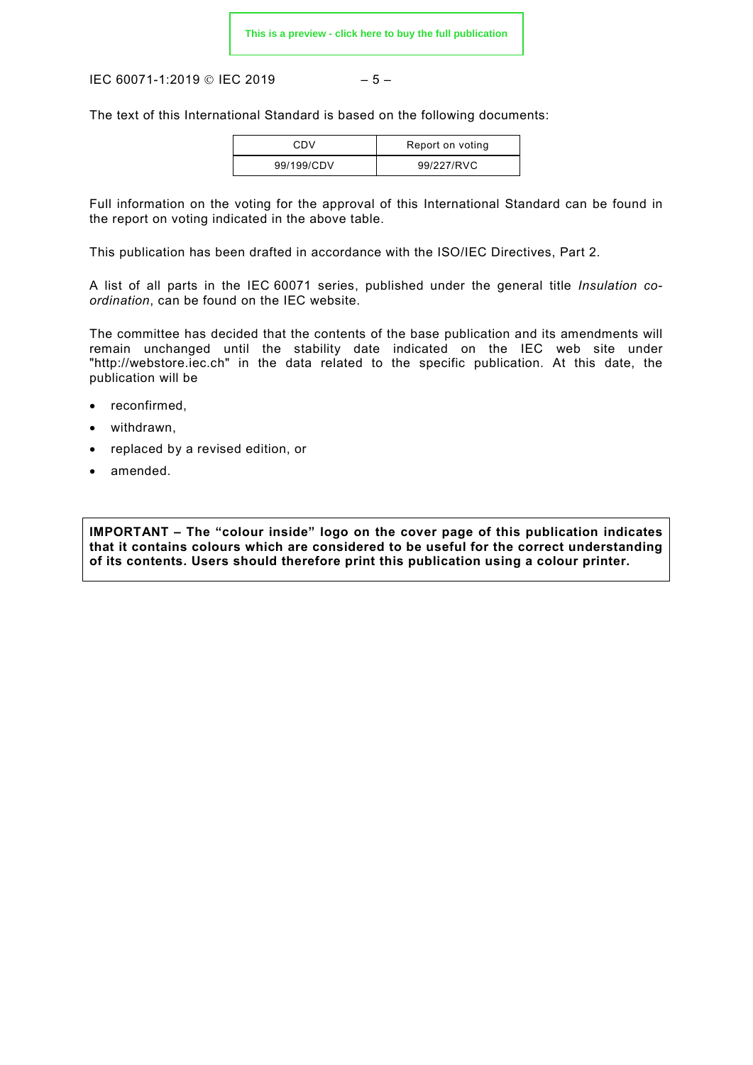IEC 60071-1:2019 © IEC 2019  $-5-$ 

The text of this International Standard is based on the following documents:

| CDV        | Report on voting |
|------------|------------------|
| 99/199/CDV | 99/227/RVC       |

Full information on the voting for the approval of this International Standard can be found in the report on voting indicated in the above table.

This publication has been drafted in accordance with the ISO/IEC Directives, Part 2.

A list of all parts in the IEC 60071 series, published under the general title *Insulation coordination*, can be found on the IEC website.

The committee has decided that the contents of the base publication and its amendments will remain unchanged until the stability date indicated on the IEC web site under "http://webstore.iec.ch" in the data related to the specific publication. At this date, the publication will be

- reconfirmed,
- withdrawn.
- replaced by a revised edition, or
- amended.

**IMPORTANT – The "colour inside" logo on the cover page of this publication indicates that it contains colours which are considered to be useful for the correct understanding of its contents. Users should therefore print this publication using a colour printer.**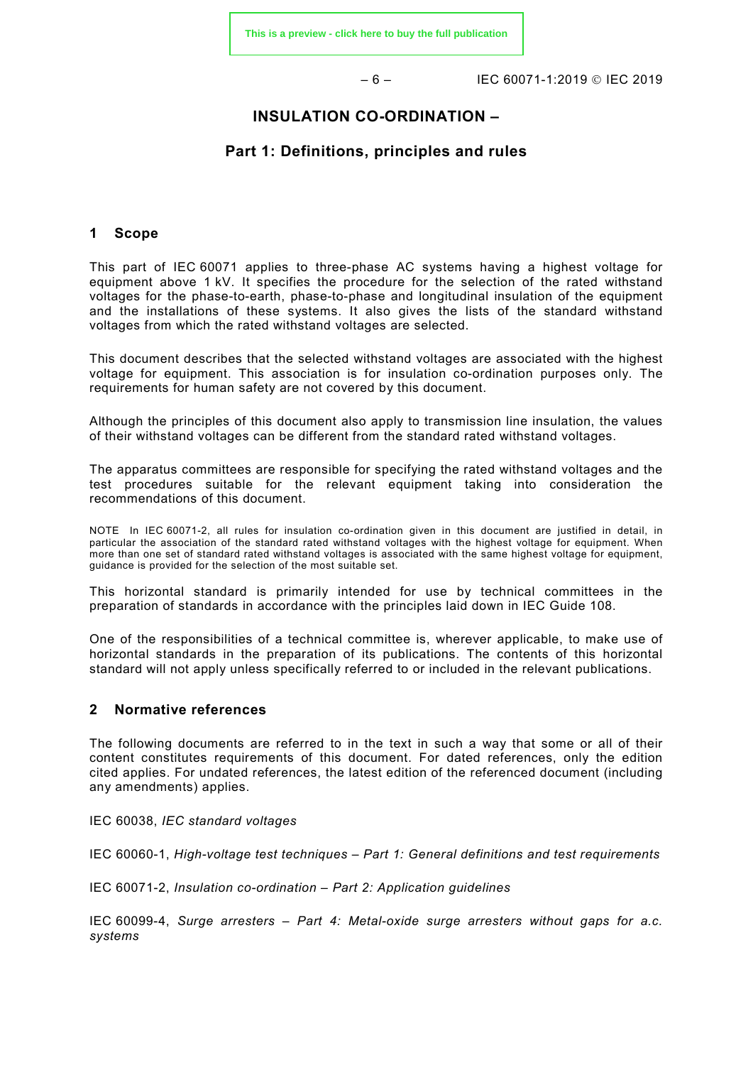– 6 – IEC 60071-1:2019 IEC 2019

# **INSULATION CO-ORDINATION –**

#### **Part 1: Definitions, principles and rules**

#### <span id="page-5-0"></span>**1 Scope**

This part of IEC 60071 applies to three-phase AC systems having a highest voltage for equipment above 1 kV. It specifies the procedure for the selection of the rated withstand voltages for the phase-to-earth, phase-to-phase and longitudinal insulation of the equipment and the installations of these systems. It also gives the lists of the standard withstand voltages from which the rated withstand voltages are selected.

This document describes that the selected withstand voltages are associated with the highest voltage for equipment. This association is for insulation co-ordination purposes only. The requirements for human safety are not covered by this document.

Although the principles of this document also apply to transmission line insulation, the values of their withstand voltages can be different from the standard rated withstand voltages.

The apparatus committees are responsible for specifying the rated withstand voltages and the test procedures suitable for the relevant equipment taking into consideration the recommendations of this document.

NOTE In IEC 60071-2, all rules for insulation co-ordination given in this document are justified in detail, in particular the association of the standard rated withstand voltages with the highest voltage for equipment. When more than one set of standard rated withstand voltages is associated with the same highest voltage for equipment, guidance is provided for the selection of the most suitable set.

This horizontal standard is primarily intended for use by technical committees in the preparation of standards in accordance with the principles laid down in IEC Guide 108.

One of the responsibilities of a technical committee is, wherever applicable, to make use of horizontal standards in the preparation of its publications. The contents of this horizontal standard will not apply unless specifically referred to or included in the relevant publications.

#### <span id="page-5-1"></span>**2 Normative references**

The following documents are referred to in the text in such a way that some or all of their content constitutes requirements of this document. For dated references, only the edition cited applies. For undated references, the latest edition of the referenced document (including any amendments) applies.

IEC 60038, *IEC standard voltages* 

IEC 60060-1, *High-voltage test techniques – Part 1: General definitions and test requirements*

IEC 60071-2, *Insulation co-ordination – Part 2: Application guidelines*

IEC 60099-4, *Surge arresters – Part 4: Metal-oxide surge arresters without gaps for a.c. systems*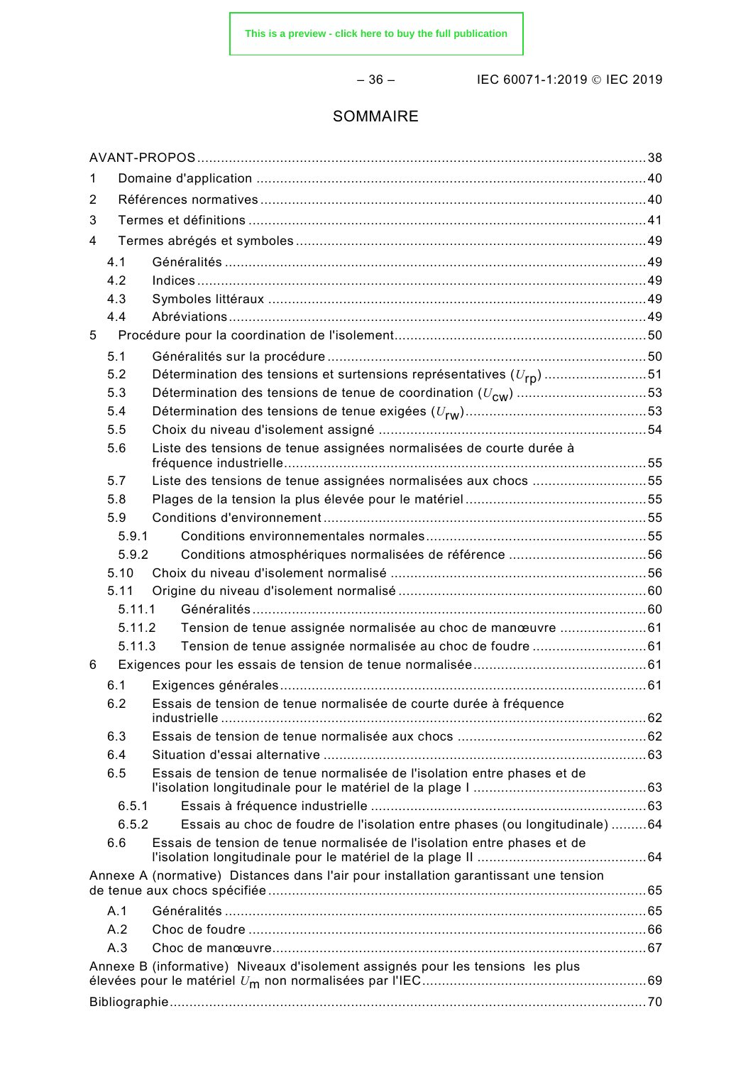– 36 – IEC 60071-1:2019 IEC 2019

# SOMMAIRE

| 1 |        |                                                                                      |  |
|---|--------|--------------------------------------------------------------------------------------|--|
| 2 |        |                                                                                      |  |
| 3 |        |                                                                                      |  |
| 4 |        |                                                                                      |  |
|   | 4.1    |                                                                                      |  |
|   | 4.2    |                                                                                      |  |
|   | 4.3    |                                                                                      |  |
|   | 4.4    |                                                                                      |  |
| 5 |        |                                                                                      |  |
|   | 5.1    |                                                                                      |  |
|   | 5.2    | Détermination des tensions et surtensions représentatives $(U_{\text{TD}})$ 51       |  |
|   | 5.3    | Détermination des tensions de tenue de coordination $(U_{\text{cw}})$ 53             |  |
|   | 5.4    |                                                                                      |  |
|   | 5.5    |                                                                                      |  |
|   | 5.6    | Liste des tensions de tenue assignées normalisées de courte durée à                  |  |
|   | 5.7    | Liste des tensions de tenue assignées normalisées aux chocs 55                       |  |
|   | 5.8    |                                                                                      |  |
|   | 5.9    |                                                                                      |  |
|   | 5.9.1  |                                                                                      |  |
|   | 5.9.2  |                                                                                      |  |
|   | 5.10   |                                                                                      |  |
|   | 5.11   |                                                                                      |  |
|   | 5.11.1 |                                                                                      |  |
|   | 5.11.2 | Tension de tenue assignée normalisée au choc de manœuvre 61                          |  |
|   | 5.11.3 | Tension de tenue assignée normalisée au choc de foudre 61                            |  |
| 6 |        |                                                                                      |  |
|   | 6.1    |                                                                                      |  |
|   | 6.2    | Essais de tension de tenue normalisée de courte durée à fréquence                    |  |
|   | 6.3    |                                                                                      |  |
|   | 6.4    |                                                                                      |  |
|   | 6.5    | Essais de tension de tenue normalisée de l'isolation entre phases et de              |  |
|   | 6.5.1  |                                                                                      |  |
|   | 6.5.2  | Essais au choc de foudre de l'isolation entre phases (ou longitudinale) 64           |  |
|   | 6.6    | Essais de tension de tenue normalisée de l'isolation entre phases et de              |  |
|   |        | Annexe A (normative) Distances dans l'air pour installation garantissant une tension |  |
|   | A.1    |                                                                                      |  |
|   | A.2    |                                                                                      |  |
|   | A.3    |                                                                                      |  |
|   |        | Annexe B (informative) Niveaux d'isolement assignés pour les tensions les plus       |  |
|   |        |                                                                                      |  |
|   |        |                                                                                      |  |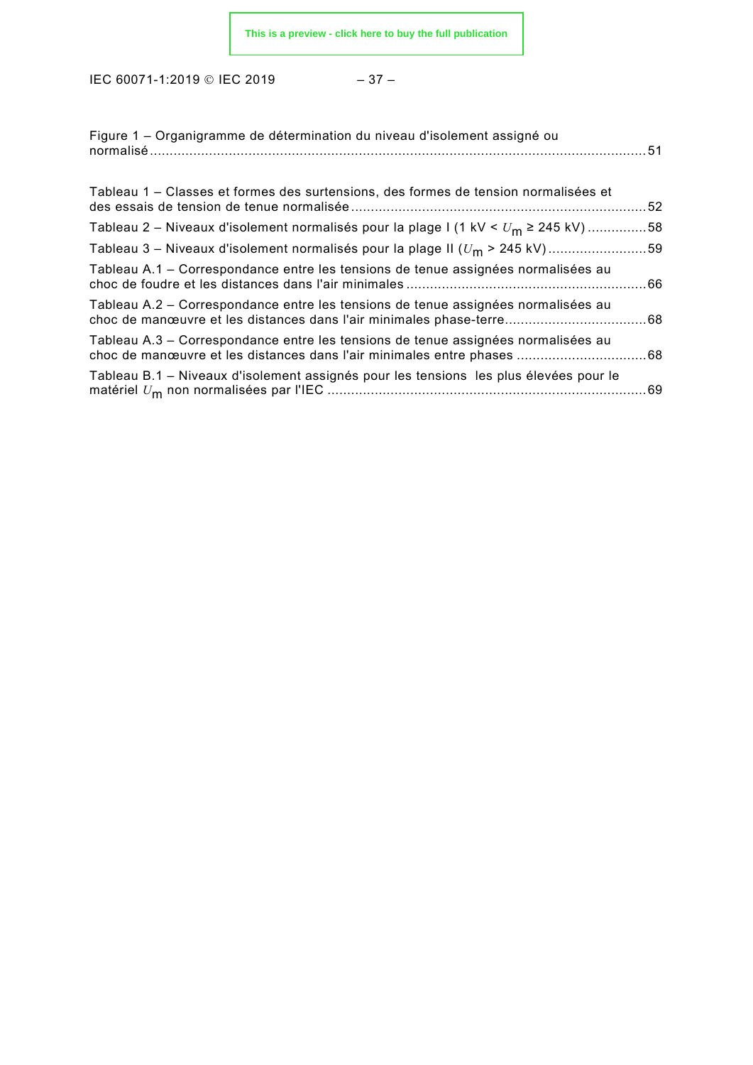IEC 60071-1:2019 © IEC 2019 - 37 -

| Figure 1 – Organigramme de détermination du niveau d'isolement assigné ou                                                                                   |      |
|-------------------------------------------------------------------------------------------------------------------------------------------------------------|------|
| Tableau 1 – Classes et formes des surtensions, des formes de tension normalisées et                                                                         |      |
| Tableau 2 – Niveaux d'isolement normalisés pour la plage I (1 kV < $U_m \ge 245$ kV)                                                                        | .58  |
| Tableau 3 – Niveaux d'isolement normalisés pour la plage II ( $U_m$ > 245 kV)59                                                                             |      |
| Tableau A.1 – Correspondance entre les tensions de tenue assignées normalisées au                                                                           |      |
| Tableau A.2 – Correspondance entre les tensions de tenue assignées normalisées au                                                                           |      |
| Tableau A.3 – Correspondance entre les tensions de tenue assignées normalisées au<br>choc de manœuvre et les distances dans l'air minimales entre phases 68 |      |
| Tableau B.1 – Niveaux d'isolement assignés pour les tensions les plus élevées pour le                                                                       | . 69 |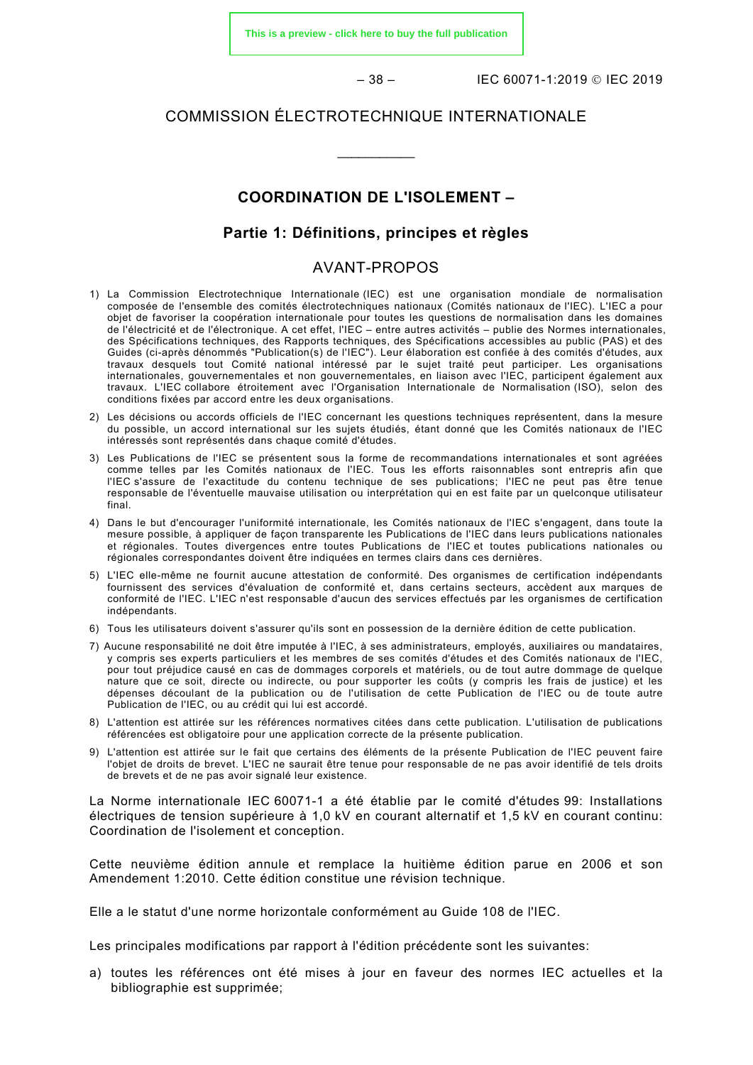**[This is a preview - click here to buy the full publication](https://webstore.iec.ch/publication/59657&preview)**

 $-38 -$  IEC 60071-1:2019 © IEC 2019

#### COMMISSION ÉLECTROTECHNIQUE INTERNATIONALE

\_\_\_\_\_\_\_\_\_\_\_

#### **COORDINATION DE L'ISOLEMENT –**

#### **Partie 1: Définitions, principes et règles**

#### AVANT-PROPOS

- <span id="page-8-0"></span>1) La Commission Electrotechnique Internationale (IEC) est une organisation mondiale de normalisation composée de l'ensemble des comités électrotechniques nationaux (Comités nationaux de l'IEC). L'IEC a pour objet de favoriser la coopération internationale pour toutes les questions de normalisation dans les domaines de l'électricité et de l'électronique. A cet effet, l'IEC – entre autres activités – publie des Normes internationales, des Spécifications techniques, des Rapports techniques, des Spécifications accessibles au public (PAS) et des Guides (ci-après dénommés "Publication(s) de l'IEC"). Leur élaboration est confiée à des comités d'études, aux travaux desquels tout Comité national intéressé par le sujet traité peut participer. Les organisations internationales, gouvernementales et non gouvernementales, en liaison avec l'IEC, participent également aux travaux. L'IEC collabore étroitement avec l'Organisation Internationale de Normalisation (ISO), selon des conditions fixées par accord entre les deux organisations.
- 2) Les décisions ou accords officiels de l'IEC concernant les questions techniques représentent, dans la mesure du possible, un accord international sur les sujets étudiés, étant donné que les Comités nationaux de l'IEC intéressés sont représentés dans chaque comité d'études.
- 3) Les Publications de l'IEC se présentent sous la forme de recommandations internationales et sont agréées comme telles par les Comités nationaux de l'IEC. Tous les efforts raisonnables sont entrepris afin que l'IEC s'assure de l'exactitude du contenu technique de ses publications; l'IEC ne peut pas être tenue responsable de l'éventuelle mauvaise utilisation ou interprétation qui en est faite par un quelconque utilisateur final.
- 4) Dans le but d'encourager l'uniformité internationale, les Comités nationaux de l'IEC s'engagent, dans toute la mesure possible, à appliquer de façon transparente les Publications de l'IEC dans leurs publications nationales et régionales. Toutes divergences entre toutes Publications de l'IEC et toutes publications nationales ou régionales correspondantes doivent être indiquées en termes clairs dans ces dernières.
- 5) L'IEC elle-même ne fournit aucune attestation de conformité. Des organismes de certification indépendants fournissent des services d'évaluation de conformité et, dans certains secteurs, accèdent aux marques de conformité de l'IEC. L'IEC n'est responsable d'aucun des services effectués par les organismes de certification indépendants.
- 6) Tous les utilisateurs doivent s'assurer qu'ils sont en possession de la dernière édition de cette publication.
- 7) Aucune responsabilité ne doit être imputée à l'IEC, à ses administrateurs, employés, auxiliaires ou mandataires, y compris ses experts particuliers et les membres de ses comités d'études et des Comités nationaux de l'IEC, pour tout préjudice causé en cas de dommages corporels et matériels, ou de tout autre dommage de quelque nature que ce soit, directe ou indirecte, ou pour supporter les coûts (y compris les frais de justice) et les dépenses découlant de la publication ou de l'utilisation de cette Publication de l'IEC ou de toute autre Publication de l'IEC, ou au crédit qui lui est accordé.
- 8) L'attention est attirée sur les références normatives citées dans cette publication. L'utilisation de publications référencées est obligatoire pour une application correcte de la présente publication.
- 9) L'attention est attirée sur le fait que certains des éléments de la présente Publication de l'IEC peuvent faire l'objet de droits de brevet. L'IEC ne saurait être tenue pour responsable de ne pas avoir identifié de tels droits de brevets et de ne pas avoir signalé leur existence.

La Norme internationale IEC 60071-1 a été établie par le comité d'études 99: Installations électriques de tension supérieure à 1,0 kV en courant alternatif et 1,5 kV en courant continu: Coordination de l'isolement et conception.

Cette neuvième édition annule et remplace la huitième édition parue en 2006 et son Amendement 1:2010. Cette édition constitue une révision technique.

Elle a le statut d'une norme horizontale conformément au Guide 108 de l'IEC.

Les principales modifications par rapport à l'édition précédente sont les suivantes:

a) toutes les références ont été mises à jour en faveur des normes IEC actuelles et la bibliographie est supprimée;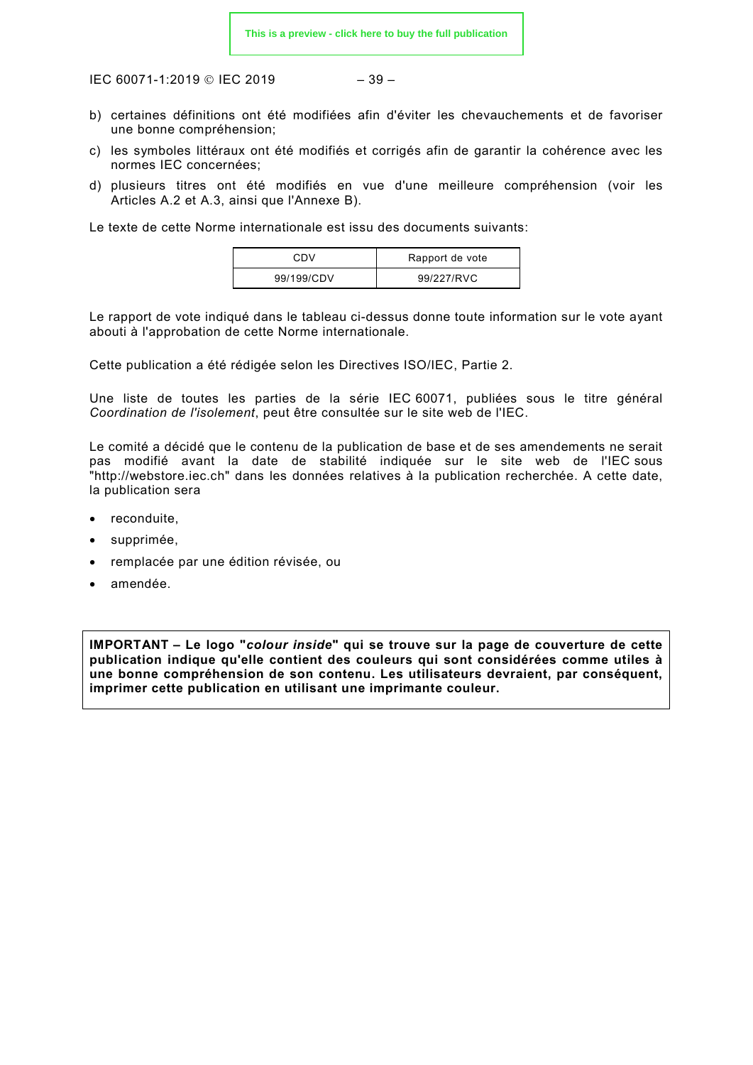IEC 60071-1:2019 © IEC 2019 – 39 –

- b) certaines définitions ont été modifiées afin d'éviter les chevauchements et de favoriser une bonne compréhension;
- c) les symboles littéraux ont été modifiés et corrigés afin de garantir la cohérence avec les normes IEC concernées;
- d) plusieurs titres ont été modifiés en vue d'une meilleure compréhension (voir les Articles A.2 et A.3, ainsi que l'Annexe B).

Le texte de cette Norme internationale est issu des documents suivants:

| CDV        | Rapport de vote |
|------------|-----------------|
| 99/199/CDV | 99/227/RVC      |

Le rapport de vote indiqué dans le tableau ci-dessus donne toute information sur le vote ayant abouti à l'approbation de cette Norme internationale.

Cette publication a été rédigée selon les Directives ISO/IEC, Partie 2.

Une liste de toutes les parties de la série IEC 60071, publiées sous le titre général *Coordination de l'isolement*, peut être consultée sur le site web de l'IEC.

Le comité a décidé que le contenu de la publication de base et de ses amendements ne serait pas modifié avant la date de stabilité indiquée sur le site web de l'IEC sous "http://webstore.iec.ch" dans les données relatives à la publication recherchée. A cette date, la publication sera

- reconduite.
- supprimée,
- remplacée par une édition révisée, ou
- amendée.

**IMPORTANT – Le logo "***colour inside***" qui se trouve sur la page de couverture de cette publication indique qu'elle contient des couleurs qui sont considérées comme utiles à une bonne compréhension de son contenu. Les utilisateurs devraient, par conséquent, imprimer cette publication en utilisant une imprimante couleur.**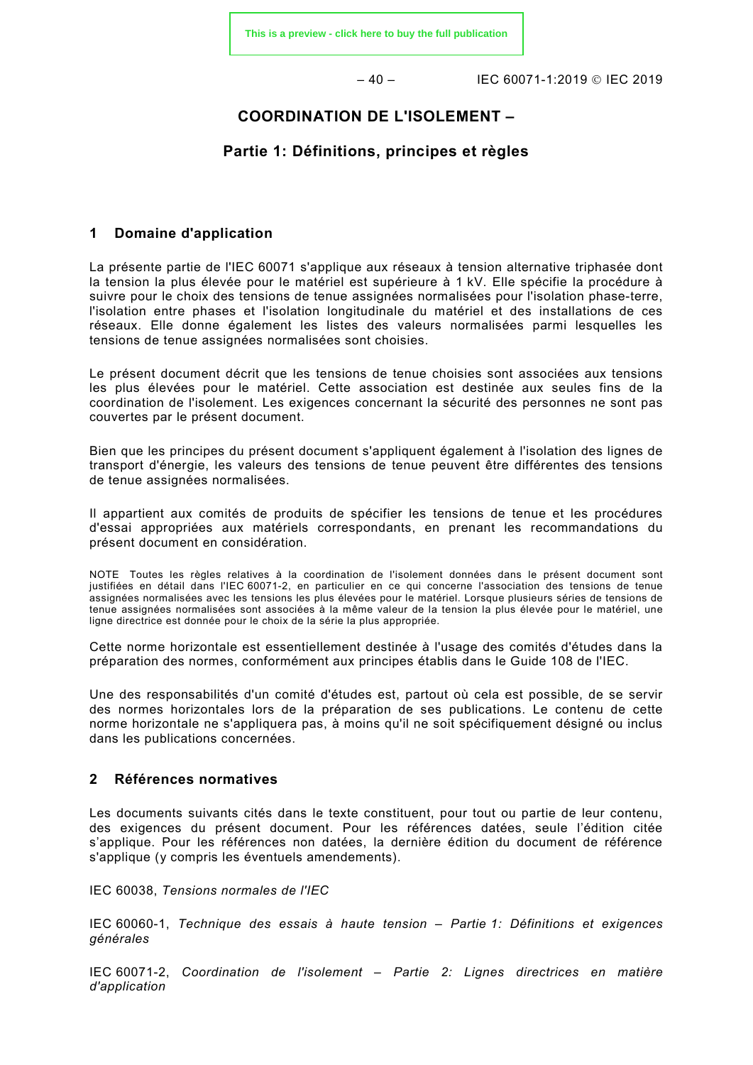$-40 -$  IEC 60071-1:2019 © IEC 2019

## **COORDINATION DE L'ISOLEMENT –**

## **Partie 1: Définitions, principes et règles**

#### <span id="page-10-0"></span>**1 Domaine d'application**

La présente partie de l'IEC 60071 s'applique aux réseaux à tension alternative triphasée dont la tension la plus élevée pour le matériel est supérieure à 1 kV. Elle spécifie la procédure à suivre pour le choix des tensions de tenue assignées normalisées pour l'isolation phase-terre, l'isolation entre phases et l'isolation longitudinale du matériel et des installations de ces réseaux. Elle donne également les listes des valeurs normalisées parmi lesquelles les tensions de tenue assignées normalisées sont choisies.

Le présent document décrit que les tensions de tenue choisies sont associées aux tensions les plus élevées pour le matériel. Cette association est destinée aux seules fins de la coordination de l'isolement. Les exigences concernant la sécurité des personnes ne sont pas couvertes par le présent document.

Bien que les principes du présent document s'appliquent également à l'isolation des lignes de transport d'énergie, les valeurs des tensions de tenue peuvent être différentes des tensions de tenue assignées normalisées.

Il appartient aux comités de produits de spécifier les tensions de tenue et les procédures d'essai appropriées aux matériels correspondants, en prenant les recommandations du présent document en considération.

NOTE Toutes les règles relatives à la coordination de l'isolement données dans le présent document sont justifiées en détail dans l'IEC 60071-2, en particulier en ce qui concerne l'association des tensions de tenue assignées normalisées avec les tensions les plus élevées pour le matériel. Lorsque plusieurs séries de tensions de tenue assignées normalisées sont associées à la même valeur de la tension la plus élevée pour le matériel, une ligne directrice est donnée pour le choix de la série la plus appropriée.

Cette norme horizontale est essentiellement destinée à l'usage des comités d'études dans la préparation des normes, conformément aux principes établis dans le Guide 108 de l'IEC.

Une des responsabilités d'un comité d'études est, partout où cela est possible, de se servir des normes horizontales lors de la préparation de ses publications. Le contenu de cette norme horizontale ne s'appliquera pas, à moins qu'il ne soit spécifiquement désigné ou inclus dans les publications concernées.

#### <span id="page-10-1"></span>**2 Références normatives**

Les documents suivants cités dans le texte constituent, pour tout ou partie de leur contenu, des exigences du présent document. Pour les références datées, seule l'édition citée s'applique. Pour les références non datées, la dernière édition du document de référence s'applique (y compris les éventuels amendements).

IEC 60038, *Tensions normales de l'IEC* 

IEC 60060-1, *Technique des essais à haute tension – Partie 1: Définitions et exigences générales*

IEC 60071-2, *Coordination de l'isolement – Partie 2: Lignes directrices en matière d'application*